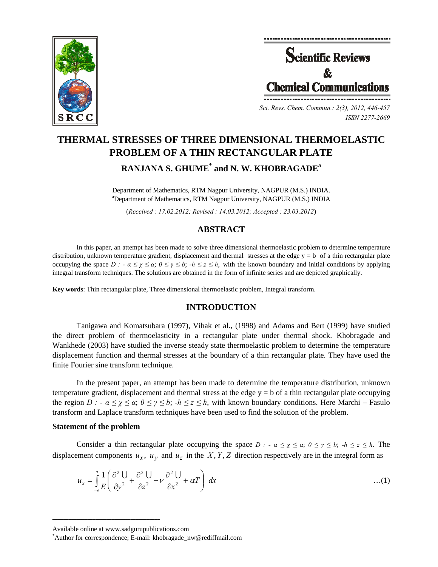



*Sci. Revs. Chem. Commun.: 2(3), 2012, 446-457 ISSN 2277-2669* 

# **THERMAL STRESSES OF THREE DIMENSIONAL THERMOELASTIC PROBLEM OF A THIN RECTANGULAR PLATE RANJANA S. GHUME\* and N. W. KHOBRAGADE<sup>a</sup>**

Department of Mathematics, RTM Nagpur University, NAGPUR (M.S.) INDIA. a Department of Mathematics, RTM Nagpur University, NAGPUR (M.S.) INDIA

(*Received : 17.02.2012; Revised : 14.03.2012; Accepted : 23.03.2012*)

### **ABSTRACT**

In this paper, an attempt has been made to solve three dimensional thermoelastic problem to determine temperature distribution, unknown temperature gradient, displacement and thermal stresses at the edge  $y = b$  of a thin rectangular plate occupying the space  $D : -\alpha \leq \chi \leq \alpha$ ;  $0 \leq \gamma \leq b$ ;  $-h \leq \chi \leq h$ , with the known boundary and initial conditions by applying integral transform techniques. The solutions are obtained in the form of infinite series and are depicted graphically.

**Key words**: Thin rectangular plate, Three dimensional thermoelastic problem, Integral transform.

### **INTRODUCTION**

Tanigawa and Komatsubara (1997), Vihak et al., (1998) and Adams and Bert (1999) have studied the direct problem of thermoelasticity in a rectangular plate under thermal shock. Khobragade and Wankhede (2003) have studied the inverse steady state thermoelastic problem to determine the temperature displacement function and thermal stresses at the boundary of a thin rectangular plate. They have used the finite Fourier sine transform technique.

In the present paper, an attempt has been made to determine the temperature distribution, unknown temperature gradient, displacement and thermal stress at the edge y = b of a thin rectangular plate occupying the region *D :*  $-\alpha \leq \gamma \leq \alpha$ ;  $0 \leq \gamma \leq b$ ;  $-h \leq z \leq h$ , with known boundary conditions. Here Marchi – Fasulo transform and Laplace transform techniques have been used to find the solution of the problem.

#### **Statement of the problem**

Consider a thin rectangular plate occupying the space  $D : -\alpha \leq \chi \leq \alpha$ ;  $0 \leq \gamma \leq b$ ;  $-h \leq z \leq h$ . The displacement components  $u_x$ ,  $u_y$  and  $u_z$  in the *X*, *Y*, *Z* direction respectively are in the integral form as

$$
u_x = \int_{-a}^{a} \frac{1}{E} \left( \frac{\partial^2 U}{\partial y^2} + \frac{\partial^2 U}{\partial z^2} - \nu \frac{\partial^2 U}{\partial x^2} + \alpha T \right) dx \tag{1}
$$

**\_\_\_\_\_\_\_\_\_\_\_\_\_\_\_\_\_\_\_\_\_\_\_\_\_\_\_\_\_\_\_\_\_\_\_\_\_\_\_\_**

Available online at www.sadgurupublications.com \*

Author for correspondence; E-mail: khobragade\_nw@rediffmail.com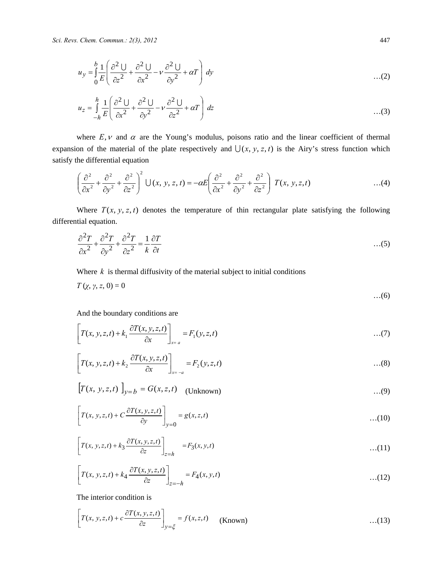$$
u_y = \int_0^b \frac{1}{E} \left( \frac{\partial^2 U}{\partial z^2} + \frac{\partial^2 U}{\partial x^2} - v \frac{\partial^2 U}{\partial y^2} + \alpha T \right) dy
$$
...(2)

$$
u_z = \int_{-h}^{h} \frac{1}{E} \left( \frac{\partial^2 U}{\partial x^2} + \frac{\partial^2 U}{\partial y^2} - \nu \frac{\partial^2 U}{\partial z^2} + \alpha T \right) dz
$$
...(3)

where  $E, v$  and  $\alpha$  are the Young's modulus, poisons ratio and the linear coefficient of thermal expansion of the material of the plate respectively and  $\bigcup (x, y, z, t)$  is the Airy's stress function which satisfy the differential equation

$$
\left(\frac{\partial^2}{\partial x^2} + \frac{\partial^2}{\partial y^2} + \frac{\partial^2}{\partial z^2}\right)^2 \cup (x, y, z, t) = -\alpha E \left(\frac{\partial^2}{\partial x^2} + \frac{\partial^2}{\partial y^2} + \frac{\partial^2}{\partial z^2}\right) T(x, y, z, t) \tag{4}
$$

Where  $T(x, y, z, t)$  denotes the temperature of thin rectangular plate satisfying the following differential equation.

$$
\frac{\partial^2 T}{\partial x^2} + \frac{\partial^2 T}{\partial y^2} + \frac{\partial^2 T}{\partial z^2} = \frac{1}{k} \frac{\partial T}{\partial t}
$$
...(5)

Where  $k$  is thermal diffusivity of the material subject to initial conditions

$$
T\left(\chi,\gamma,z,0\right)=0
$$

And the boundary conditions are

$$
\[T(x, y, z, t) + k_1 \frac{\partial T(x, y, z, t)}{\partial x}\]_{x=a} = F_1(y, z, t) \tag{7}
$$

$$
\left[T(x, y, z, t) + k_2 \frac{\partial T(x, y, z, t)}{\partial x}\right]_{x=-a} = F_2(y, z, t) \tag{8}
$$

$$
[T(x, y, z, t)]_{y=b} = G(x, z, t)
$$
 (Unknown) ...(9)

$$
\[T(x, y, z, t) + C \frac{\partial T(x, y, z, t)}{\partial y}\]_{y=0} = g(x, z, t) \tag{10}
$$

$$
\left[T(x, y, z, t) + k_3 \frac{\partial T(x, y, z, t)}{\partial z}\right]_{z=h} = F_3(x, y, t) \tag{11}
$$

$$
\[T(x, y, z, t) + k_4 \frac{\partial T(x, y, z, t)}{\partial z}\]_{z=-h} = F_4(x, y, t) \tag{12}
$$

The interior condition is

$$
\[T(x, y, z, t) + c \frac{\partial T(x, y, z, t)}{\partial z}\]_{y=\xi} = f(x, z, t) \quad \text{(Known)} \tag{13}
$$

…(6)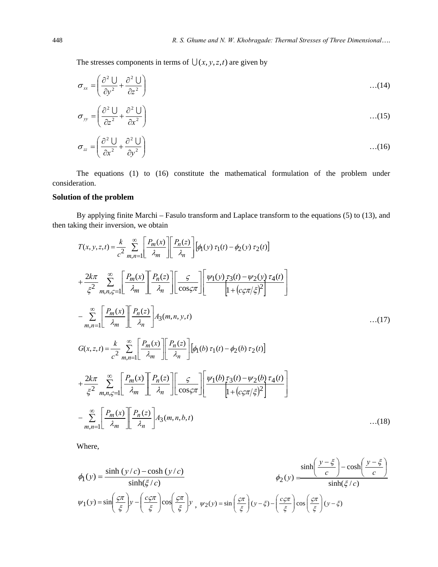The stresses components in terms of  $\bigcup (x, y, z, t)$  are given by

$$
\sigma_{xx} = \left(\frac{\partial^2 U}{\partial y^2} + \frac{\partial^2 U}{\partial z^2}\right) \tag{14}
$$

$$
\sigma_{yy} = \left(\frac{\partial^2 U}{\partial z^2} + \frac{\partial^2 U}{\partial x^2}\right) \tag{15}
$$

$$
\sigma_{zz} = \left(\frac{\partial^2 U}{\partial x^2} + \frac{\partial^2 U}{\partial y^2}\right) \tag{16}
$$

The equations (1) to (16) constitute the mathematical formulation of the problem under consideration.

### **Solution of the problem**

By applying finite Marchi – Fasulo transform and Laplace transform to the equations (5) to (13), and then taking their inversion, we obtain

$$
T(x, y, z, t) = \frac{k}{c^2} \sum_{m,n=1}^{\infty} \left[ \frac{P_m(x)}{\lambda_m} \right] \left[ \frac{P_n(z)}{\lambda_n} \right] \left[ \phi_1(y) \tau_1(t) - \phi_2(y) \tau_2(t) \right]
$$
  
+ 
$$
\frac{2k\pi}{\xi^2} \sum_{m,n,\zeta=1}^{\infty} \left[ \frac{P_m(x)}{\lambda_m} \right] \left[ \frac{P_n(z)}{\lambda_n} \right] \left[ \frac{\zeta}{\cos \zeta \pi} \right] \left[ \frac{\psi_1(y) \tau_3(t) - \psi_2(y) \tau_4(t)}{\left[ 1 + (c\zeta \pi/\xi)^2 \right]} \right]
$$
  
- 
$$
\sum_{m,n=1}^{\infty} \left[ \frac{P_m(x)}{\lambda_m} \right] \left[ \frac{P_n(z)}{\lambda_n} \right] A_3(m,n,y,t) \qquad \qquad \dots (17)
$$
  

$$
G(x, z, t) = \frac{k}{c^2} \sum_{m,n=1}^{\infty} \left[ \frac{P_m(x)}{\lambda_m} \right] \left[ \frac{P_n(z)}{\lambda_n} \right] \left[ \phi_1(b) \tau_1(t) - \phi_2(b) \tau_2(t) \right]
$$
  
+ 
$$
\frac{2k\pi}{\xi^2} \sum_{m,n,\zeta=1}^{\infty} \left[ \frac{P_m(x)}{\lambda_m} \right] \left[ \frac{P_n(z)}{\lambda_n} \right] \left[ \frac{\zeta}{\cos \zeta \pi} \right] \left[ \frac{\psi_1(b) \tau_3(t) - \psi_2(b) \tau_4(t)}{\left[ 1 + (c\zeta \pi/\xi)^2 \right]} \right]
$$
  
- 
$$
\sum_{m,n=1}^{\infty} \left[ \frac{P_m(x)}{\lambda_m} \right] \left[ \frac{P_n(z)}{\lambda_n} \right] A_3(m,n,b,t) \qquad \dots (18)
$$

Where,

$$
\phi_1(y) = \frac{\sinh(y/c) - \cosh(y/c)}{\sinh(\xi/c)}
$$
\n
$$
\phi_2(y) = \frac{\sinh\left(\frac{y-\xi}{c}\right) - \cosh\left(\frac{y-\xi}{c}\right)}{\sinh(\xi/c)}
$$
\n
$$
\psi_1(y) = \sin\left(\frac{c\pi}{\xi}\right)y - \left(\frac{c\zeta\pi}{\xi}\right)\cos\left(\frac{c\pi}{\xi}\right)y, \quad \psi_2(y) = \sin\left(\frac{c\pi}{\xi}\right)(y-\xi) - \left(\frac{c\zeta\pi}{\xi}\right)\cos\left(\frac{c\pi}{\xi}\right)(y-\xi)
$$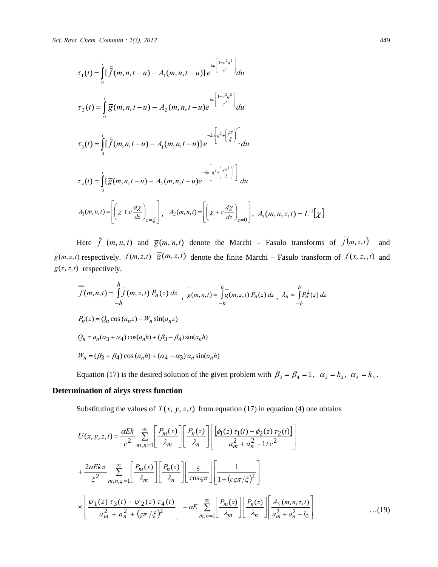$$
\tau_1(t) = \int_0^t \left[ \overline{f}(m, n, t - u) - A_1(m, n, t - u) \right] e^{ku \left[ \frac{1 - c^2 q^2}{c^2} \right]} du
$$
\n
$$
\tau_2(t) = \int_0^t \overline{g}(m, n, t - u) - A_2(m, n, t - u) e^{-ku \left[ \frac{1 - c^2 q^2}{c^2} \right]} du
$$
\n
$$
\tau_3(t) = \int_0^t \left[ \overline{f}(m, n, t - u) - A_1(m, n, t - u) \right] e^{-ku \left[ q^2 + \left( \frac{c\pi}{\xi} \right)^2 \right]} du
$$
\n
$$
\tau_4(t) = \int_0^t \left[ \overline{g}(m, n, t - u) - A_2(m, n, t - u) e^{-ku \left[ q^2 + \left( \frac{c\pi^2}{\xi} \right)^2 \right]} du
$$
\n
$$
A_1(m, n, t) = \left[ \left( \chi + c \frac{d\chi}{dz} \right)_{z = \xi} \right], \quad A_2(m, n, t) = \left[ \left( \chi + c \frac{d\chi}{dz} \right)_{z = 0} \right], \quad A_3(m, n, z, t) = L^{-1}[\chi]
$$

Here  $\bar{f}$   $(m, n, t)$  and  $\bar{g}(m, n, t)$  denote the Marchi – Fasulo transforms of  $\bar{f}(m, z, t)$  and  $g(m, z, t)$  respectively.  $\overline{f}(m, z, t)$   $\overline{g}(m, z, t)$  denote the finite Marchi – Fasulo transform of  $f(x, z, t)$  and  $g(x, z, t)$  respectively.

$$
= \int_{-h}^{h} \bar{f}(m, n, t) = \int_{-h}^{h} \bar{f}(m, z, t) P_n(z) dz \Big|_{,g}(m, n, t) = \int_{-h}^{h} \bar{g}(m, z, t) P_n(z) dz \Big|_{,h} \lambda_n = \int_{-h}^{h} P_n^2(z) dz
$$
  
\n
$$
P_n(z) = Q_n \cos(a_n z) - W_n \sin(a_n z)
$$
  
\n
$$
Q_n = a_n(\alpha_3 + \alpha_4) \cos(a_n h) + (\beta_3 - \beta_4) \sin(a_n h)
$$
  
\n
$$
W_n = (\beta_3 + \beta_4) \cos(a_n h) + (\alpha_4 - \alpha_3) a_n \sin(a_n h)
$$
  
\nEquation (17) is the desired solution of the given problem with  $\beta_3 = \beta_4 = 1$ ,  $\alpha_3 = k_3$ ,  $\alpha_4 = k_4$ .

### **Determination of airys stress function**

Substituting the values of  $T(x, y, z, t)$  from equation (17) in equation (4) one obtains

$$
U(x, y, z, t) = \frac{\alpha E k}{c^2} \sum_{m,n=1}^{\infty} \left[ \frac{P_m(x)}{\lambda_m} \right] \left[ \frac{P_n(z)}{\lambda_n} \right] \left[ \frac{\left[ \phi_1(z) \tau_1(t) - \phi_2(z) \tau_2(t) \right]}{a_m^2 + a_n^2 - 1/c^2} \right]
$$
  
+ 
$$
\frac{2\alpha E k \pi}{\xi^2} \sum_{m,n,\varsigma=1}^{\infty} \left[ \frac{P_m(x)}{\lambda_m} \right] \left[ \frac{P_n(z)}{\lambda_n} \right] \left[ \frac{\varsigma}{\cos \varsigma \pi} \right] \left[ \frac{1}{1 + \left( c \varsigma \pi / \xi \right)^2} \right]
$$

$$
\times \left[ \frac{\psi_1(z) \tau_3(t) - \psi_2(z) \tau_4(t)}{a_m^2 + a_n^2 + \left( \varsigma \pi / \xi \right)^2} \right] - \alpha E \sum_{m,n=1}^{\infty} \left[ \frac{P_m(x)}{\lambda_m} \right] \left[ \frac{P_n(z)}{\lambda_n} \right] \left[ \frac{A_3(m,n,z,t)}{a_m^2 + a_n^2 - l_0} \right] \tag{19}
$$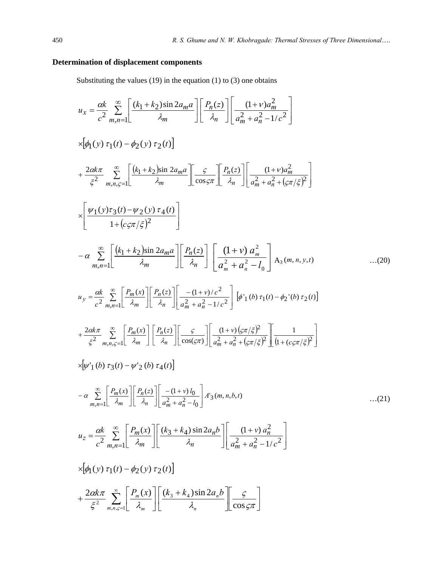### **Determination of displacement components**

Substituting the values  $(19)$  in the equation  $(1)$  to  $(3)$  one obtains

$$
u_x = \frac{\alpha k}{c^2} \sum_{m,n=1}^{\infty} \left[ \frac{(k_1 + k_2)\sin 2a_m a}{\lambda_m} \right] \left[ \frac{P_n(z)}{\lambda_n} \right] \left[ \frac{(1+v)a_m^2}{a_m^2 + a_n^2 - 1/c^2} \right]
$$
  
\n
$$
\times [\phi_1(y) \tau_1(t) - \phi_2(y) \tau_2(t)]
$$
  
\n+  $\frac{2\alpha k\pi}{\xi^2} \sum_{m,n,\zeta=1}^{\infty} \left[ \frac{(k_1 + k_2)\sin 2a_m a}{\lambda_m} \right] \frac{\varsigma}{\cos \varsigma \pi} \left[ \frac{P_n(z)}{\lambda_n} \right] \left[ \frac{(1+v)a_m^2}{a_m^2 + a_n^2 + (\varsigma \pi/\xi)^2} \right]$   
\n
$$
\times \left[ \frac{\psi_1(y)\tau_3(t) - \psi_2(y) \tau_4(t)}{1 + (c\varsigma \pi/\xi)^2} \right]
$$
  
\n-  $\alpha \sum_{m,n=1}^{\infty} \left[ \frac{(k_1 + k_2)\sin 2a_m a}{\lambda_m} \right] \left[ \frac{P_n(z)}{A_n} \right] \left[ \frac{(1+v) a_m^2}{a_m^2 + a_n^2 - l_0} \right] A_3(m, n, y, t)$  ...(20)  
\n
$$
u_y = \frac{\alpha k}{c^2} \sum_{m,n=1}^{\infty} \left[ \frac{P_m(x)}{\lambda_m} \right] \left[ \frac{P_n(z)}{\lambda_n} \right] \left[ \frac{-(1+v)/c^2}{a_m^2 + a_n^2 - 1/c^2} \right] [\phi_1(b) \tau_1(t) - \phi_2(b) \tau_2(t)]
$$
  
\n+  $\frac{2\alpha k\pi}{\xi^2} \sum_{m,n,\zeta=1}^{\infty} \left[ \frac{P_m(x)}{\lambda_m} \right] \left[ \frac{P_n(z)}{a_m^2 + a_n^2 - 1/c^2} \right] [\phi_1(b) \tau_1(t) - \phi_2(b) \tau_2(t)]$   
\n
$$
\times [\psi_1(b) \tau_3(t) - \psi_2(b) \tau_4(t)]
$$
  
\n-  $\alpha \sum_{m,n=1}^{\infty} \left[ \frac{P_m$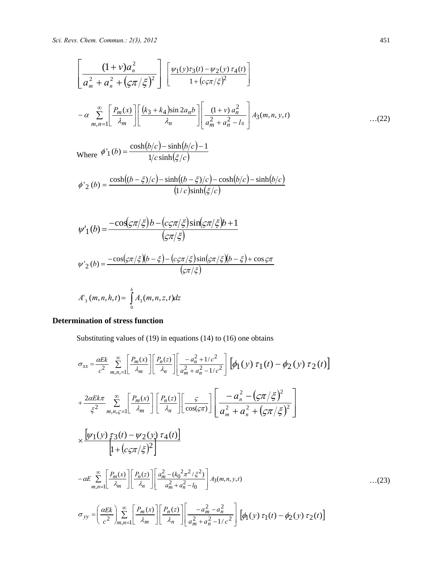*Sci. Revs. Chem. Commun.: 2(3), 2012* 451

$$
\left[\frac{(1+v)a_n^2}{a_m^2 + a_n^2 + (\varsigma \pi/\xi)^2}\right] \left[\frac{\psi_1(y)\tau_3(t) - \psi_2(y)\tau_4(t)}{1 + (c\varsigma \pi/\xi)^2}\right]
$$
  
-  $\alpha \sum_{m,n=1}^{\infty} \left[\frac{P_m(x)}{\lambda_m}\right] \left[\frac{(k_3 + k_4)\sin 2a_n b}{\lambda_n}\right] \left[\frac{(1+v)a_n^2}{a_m^2 + a_n^2 - l_0}\right] A_3(m,n,y,t)$ ...(22)

Where 
$$
\phi'_1(b) = \frac{\cosh(b/c) - \sinh(b/c) - 1}{1/c \sinh(\xi/c)}
$$

$$
\phi'_{2}(b) = \frac{\cosh((b-\xi)/c) - \sinh((b-\xi)/c) - \cosh(b/c) - \sinh(b/c)}{(1/c)\sinh(\xi/c)}
$$

$$
\psi'_{1}(b) = \frac{-\cos(\varsigma \pi/\xi) b - (c\varsigma \pi/\xi)\sin(\varsigma \pi/\xi) b + 1}{(\varsigma \pi/\xi)}
$$

$$
\psi'_{2}(b) = \frac{-\cos(\varsigma \pi/\xi)(b - \xi) - (c\varsigma \pi/\xi)\sin(\varsigma \pi/\xi)(b - \xi) + \cos \varsigma \pi}{(\varsigma \pi/\xi)}
$$

$$
A'_{3}(m, n, h, t) = \int_{0}^{h} A_{3}(m, n, z, t) dz
$$

### **Determination of stress function**

Substituting values of (19) in equations (14) to (16) one obtains

$$
\sigma_{xx} = \frac{\alpha E k}{c^2} \sum_{m,n,\text{=1}}^{\infty} \left[ \frac{P_m(x)}{\lambda_m} \right] \left[ \frac{P_n(z)}{\lambda_n} \right] \left[ \frac{-a_n^2 + 1/c^2}{a_m^2 + a_n^2 - 1/c^2} \right] \left[ \phi_1(y) \tau_1(t) - \phi_2(y) \tau_2(t) \right]
$$
  
+ 
$$
\frac{2\alpha E k \pi}{\xi^2} \sum_{m,n,\text{=1}}^{\infty} \left[ \frac{P_m(x)}{\lambda_m} \right] \left[ \frac{P_n(z)}{\lambda_n} \right] \left[ \frac{\varsigma}{\cos(\varsigma \pi)} \right] \left[ \frac{-a_n^2 - (\varsigma \pi/\xi)^2}{a_m^2 + a_n^2 + (\varsigma \pi/\xi)^2} \right]
$$
  

$$
\times \frac{\left[ \psi_1(y) \tau_3(t) - \psi_2(y) \tau_4(t) \right]}{\left[ 1 + (c \varsigma \pi/\xi)^2 \right]}
$$
  

$$
- \alpha E \sum_{m,n=1}^{\infty} \left[ \frac{P_m(x)}{\lambda_m} \right] \left[ \frac{P_n(z)}{\lambda_n} \right] \left[ \frac{a_m^2 - (k_0^2 \pi^2/\xi^2)}{a_m^2 + a_n^2 - 1} \right] A_3(m,n,y,t)
$$
...(23)  

$$
\sigma_{yy} = \left( \frac{\alpha E k}{c^2} \right) \sum_{m,n=1}^{\infty} \left[ \frac{P_m(x)}{\lambda_m} \right] \left[ \frac{P_n(z)}{\lambda_m} \right] \left[ \frac{-a_m^2 - a_n^2}{a_m^2 + a_n^2 - 1/c^2} \right] \left[ \phi_1(y) \tau_1(t) - \phi_2(y) \tau_2(t) \right]
$$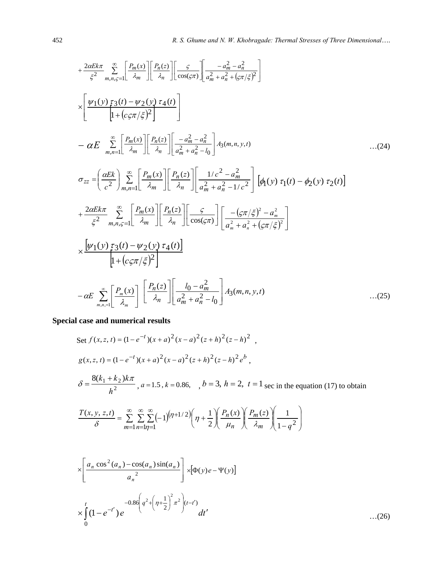$$
+\frac{2aE k\pi}{\xi^{2}} \sum_{m,n,\varsigma=1}^{\infty} \left[\frac{P_{m}(x)}{\lambda_{m}}\right] \left[\frac{P_{n}(z)}{\lambda_{n}}\right] \left[\frac{\varsigma}{\cos(\varsigma\pi)}\right] \left[\frac{-a_{m}^{2} - a_{n}^{2}}{a_{m}^{2} + a_{n}^{2} + (\varsigma\pi/\xi)^{2}}\right]
$$
\n
$$
\times \left[\frac{\psi_{1}(y) \tau_{3}(t) - \psi_{2}(y) \tau_{4}(t)}{\left[1 + (c_{\varsigma\pi/\xi})^{2}\right]}\right]
$$
\n
$$
-\alpha E \sum_{m,n=1}^{\infty} \left[\frac{P_{m}(x)}{\lambda_{m}}\right] \left[\frac{P_{n}(z)}{\lambda_{n}}\right] \left[\frac{-a_{m}^{2} - a_{n}^{2}}{a_{m}^{2} + a_{n}^{2} - l_{0}}\right] A_{3}(m, n, y, t)
$$
\n
$$
\sigma_{zz} = \left(\frac{\alpha E k}{c^{2}}\right) \sum_{m,n=1}^{\infty} \left[\frac{P_{m}(x)}{\lambda_{m}}\right] \left[\frac{P_{n}(z)}{\lambda_{n}}\right] \left[\frac{1/c^{2} - a_{m}^{2}}{a_{m}^{2} + a_{n}^{2} - 1/c^{2}}\right] \left[\phi_{1}(y) \tau_{1}(t) - \phi_{2}(y) \tau_{2}(t)\right]
$$
\n
$$
+\frac{2\alpha E k\pi}{\xi^{2}} \sum_{m,n,\varsigma=1}^{\infty} \left[\frac{P_{m}(x)}{\lambda_{m}}\right] \left[\frac{P_{n}(z)}{\lambda_{n}}\right] \left[\frac{\varsigma}{\cos(\varsigma\pi)}\right] \left[\frac{-(\varsigma\pi/\xi)^{2} - a_{m}^{2}}{a_{m}^{2} + a_{n}^{2} + (\varsigma\pi/\xi)^{2}}\right]
$$
\n
$$
\times \frac{\left[\psi_{1}(y) \tau_{3}(t) - \psi_{2}(y) \tau_{4}(t)\right]}{\left[1 + (c_{\varsigma\pi/\xi})^{2}\right]}
$$
\n
$$
-\alpha E \sum_{m,n=1}^{\infty} \left[\frac{P_{n}(x)}{\lambda_{m}}\right] \left[\frac{P_{n}(z)}{\
$$

## **Special case and numerical results**

Set 
$$
f(x, z, t) = (1 - e^{-t})(x + a)^2 (x - a)^2 (z + h)^2 (z - h)^2
$$
,  
\n $g(x, z, t) = (1 - e^{-t})(x + a)^2 (x - a)^2 (z + h)^2 (z - h)^2 e^b$ ,  
\n $\delta = \frac{8(k_1 + k_2)k\pi}{h^2}$ ,  $a = 1.5$ ,  $k = 0.86$ ,  $\delta = 3$ ,  $h = 2$ ,  $t = 1$  sec in the equation (17) to obtain  
\n
$$
\frac{T(x, y, z, t)}{\delta} = \sum_{m=1}^{\infty} \sum_{n=1}^{\infty} \sum_{n=1}^{\infty} (-1)^{(n+1/2)} \left(\eta + \frac{1}{2}\right) \left(\frac{P_m(x)}{\mu_n}\right) \left(\frac{P_m(z)}{\lambda_m}\right) \left(\frac{1}{1 - q^2}\right)
$$
\n
$$
\times \left[\frac{a_n \cos^2(a_n) - \cos(a_n) \sin(a_n)}{a_n^2}\right] \times [\Phi(y)e - \Psi(y)]
$$
\n
$$
\times \int_{0}^{t} (1 - e^{-t'}) e^{-0.86\left(q^2 + \left(\eta + \frac{1}{2}\right)^2 \pi^2\right) (t - t')} dt'
$$
\n...(26)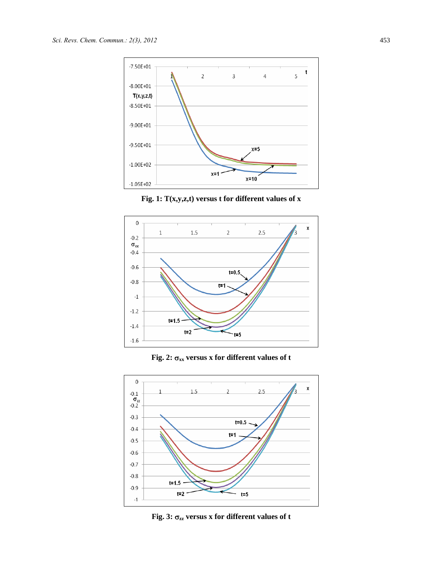





**Fig. 2:** σ**xx versus x for different values of t** 



**Fig. 3:** σ**zz versus x for different values of t**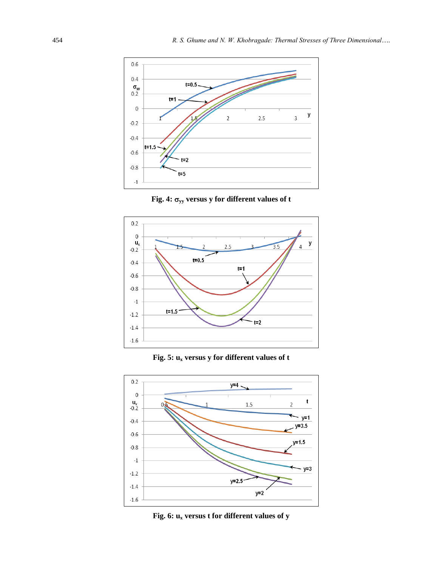









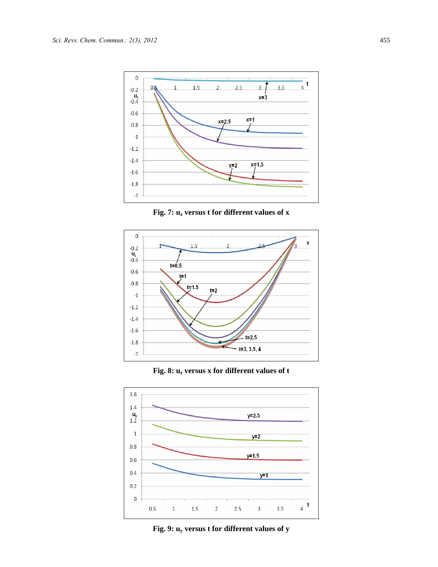

**Fig. 7: uz versus t for different values of x** 







**Fig. 9: uy versus t for different values of y**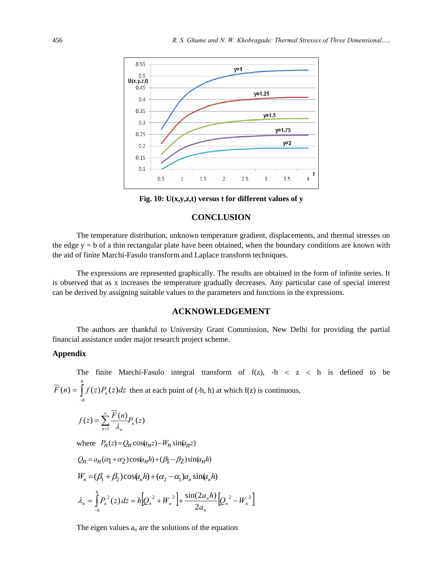

**Fig. 10: U(x,y,z,t) versus t for different values of y**

### **CONCLUSION**

The temperature distribution, unknown temperature gradient, displacements, and thermal stresses on the edge  $y = b$  of a thin rectangular plate have been obtained, when the boundary conditions are known with the aid of finite Marchi-Fasulo transform and Laplace transform techniques.

The expressions are represented graphically. The results are obtained in the form of infinite series. It is observed that as x increases the temperature gradually decreases. Any particular case of special interest can be derived by assigning suitable values to the parameters and functions in the expressions.

### **ACKNOWLEDGEMENT**

The authors are thankful to University Grant Commission, New Delhi for providing the partial financial assistance under major research project scheme.

### **Appendix**

The finite Marchi-Fasulo integral transform of  $f(z)$ ,  $-h < z < h$  is defined to be ∫ − = *h h*  $F(n) = \int f(z)P_n(z)dz$  then at each point of (-h, h) at which f(z) is continuous,

$$
f(z) = \sum_{n=1}^{\infty} \frac{\overline{F}(n)}{\lambda_n} P_n(z)
$$

where  $P_n(z) = Q_n \cos(q_n z) - W_n \sin(q_n z)$ 

$$
Q_n = a_n(\alpha_1 + \alpha_2)\cos(a_n h) + (\beta_1 - \beta_2)\sin(a_n h)
$$
  
\n
$$
W_n = (\beta_1 + \beta_2)\cos(\alpha_n h) + (\alpha_2 - \alpha_1)a_n\sin(\alpha_n h)
$$
  
\n
$$
\lambda_n = \int_{-h}^{h} P_n^2(z) dz = h[Q_n^2 + W_n^2] + \frac{\sin(2a_n h)}{2a_n}[Q_n^2 - W_n^2]
$$

The eigen values  $a_n$  are the solutions of the equation